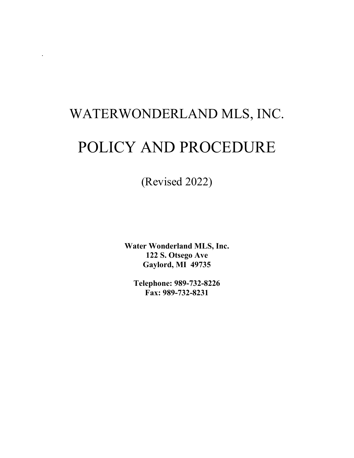# WATERWONDERLAND MLS, INC.

.

## POLICY AND PROCEDURE

(Revised 2022)

**Water Wonderland MLS, Inc. 122 S. Otsego Ave Gaylord, MI 49735**

**Telephone: 989-732-8226 Fax: 989-732-8231**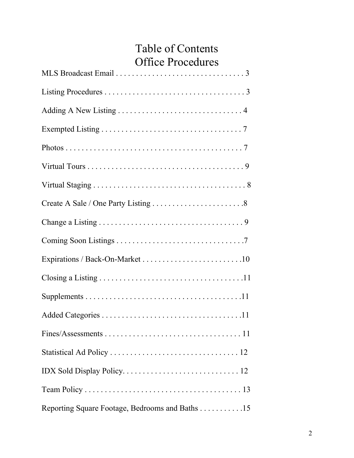## Table of Contents Office Procedures

| Reporting Square Footage, Bedrooms and Baths 15 |
|-------------------------------------------------|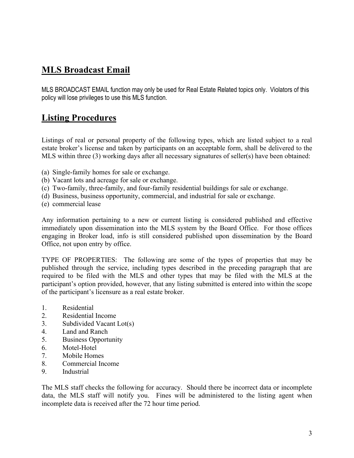## **MLS Broadcast Email**

MLS BROADCAST EMAIL function may only be used for Real Estate Related topics only. Violators of this policy will lose privileges to use this MLS function.

## **Listing Procedures**

Listings of real or personal property of the following types, which are listed subject to a real estate broker's license and taken by participants on an acceptable form, shall be delivered to the MLS within three (3) working days after all necessary signatures of seller(s) have been obtained:

- (a) Single-family homes for sale or exchange.
- (b) Vacant lots and acreage for sale or exchange.
- (c) Two-family, three-family, and four-family residential buildings for sale or exchange.
- (d) Business, business opportunity, commercial, and industrial for sale or exchange.
- (e) commercial lease

Any information pertaining to a new or current listing is considered published and effective immediately upon dissemination into the MLS system by the Board Office. For those offices engaging in Broker load, info is still considered published upon dissemination by the Board Office, not upon entry by office.

TYPE OF PROPERTIES: The following are some of the types of properties that may be published through the service, including types described in the preceding paragraph that are required to be filed with the MLS and other types that may be filed with the MLS at the participant's option provided, however, that any listing submitted is entered into within the scope of the participant's licensure as a real estate broker.

- 1. Residential
- 2. Residential Income
- 3. Subdivided Vacant Lot(s)
- 4. Land and Ranch
- 5. Business Opportunity
- 6. Motel-Hotel
- 7. Mobile Homes
- 8. Commercial Income
- 9. Industrial

The MLS staff checks the following for accuracy. Should there be incorrect data or incomplete data, the MLS staff will notify you. Fines will be administered to the listing agent when incomplete data is received after the 72 hour time period.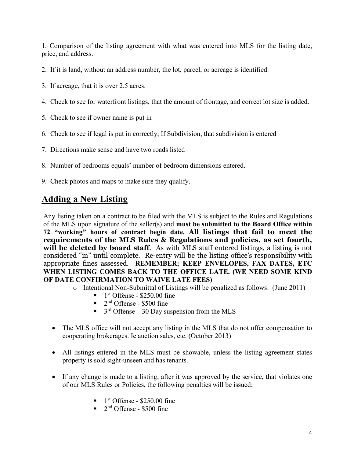1. Comparison of the listing agreement with what was entered into MLS for the listing date, price, and address.

- 2. If it is land, without an address number, the lot, parcel, or acreage is identified.
- 3. If acreage, that it is over 2.5 acres.
- 4. Check to see for waterfront listings, that the amount of frontage, and correct lot size is added.
- 5. Check to see if owner name is put in
- 6. Check to see if legal is put in correctly, If Subdivision, that subdivision is entered
- 7. Directions make sense and have two roads listed
- 8. Number of bedrooms equals' number of bedroom dimensions entered.
- 9. Check photos and maps to make sure they qualify.

## **Adding a New Listing**

Any listing taken on a contract to be filed with the MLS is subject to the Rules and Regulations of the MLS upon signature of the seller(s) and **must be submitted to the Board Office within 72 "working" hours of contract begin date. All listings that fail to meet the requirements of the MLS Rules & Regulations and policies, as set fourth, will be deleted by board staff**. As with MLS staff entered listings, a listing is not considered "in" until complete. Re-entry will be the listing office's responsibility with appropriate fines assessed. **REMEMBER; KEEP ENVELOPES, FAX DATES, ETC WHEN LISTING COMES BACK TO THE OFFICE LATE. (WE NEED SOME KIND OF DATE CONFIRMATION TO WAIVE LATE FEES)**

- o Intentional Non-Submittal of Listings will be penalized as follows: (June 2011)
	- $1<sup>st</sup>$  Offense \$250.00 fine
	- $\blacksquare$  2<sup>nd</sup> Offense \$500 fine
	- $\blacksquare$  3<sup>rd</sup> Offense 30 Day suspension from the MLS
- The MLS office will not accept any listing in the MLS that do not offer compensation to cooperating brokerages. Ie auction sales, etc. (October 2013)
- All listings entered in the MLS must be showable, unless the listing agreement states property is sold sight-unseen and has tenants.
- If any change is made to a listing, after it was approved by the service, that violates one of our MLS Rules or Policies, the following penalties will be issued:
	- $1<sup>st</sup>$  Offense \$250.00 fine
	- $\blacksquare$  2<sup>nd</sup> Offense \$500 fine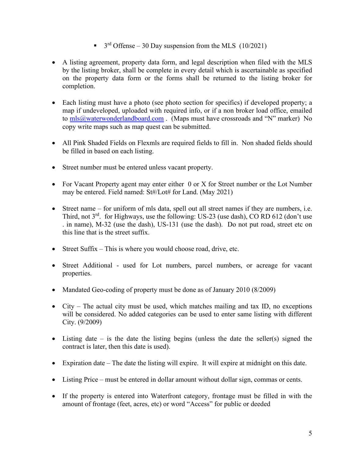- $\bullet$  3<sup>rd</sup> Offense 30 Day suspension from the MLS (10/2021)
- A listing agreement, property data form, and legal description when filed with the MLS by the listing broker, shall be complete in every detail which is ascertainable as specified on the property data form or the forms shall be returned to the listing broker for completion.
- Each listing must have a photo (see photo section for specifics) if developed property; a map if undeveloped, uploaded with required info, or if a non broker load office, emailed to [mls@waterwonderlandboard.com](mailto:mls@waterwonderlandboard.com) . (Maps must have crossroads and "N" marker) No copy write maps such as map quest can be submitted.
- All Pink Shaded Fields on Flexmls are required fields to fill in. Non shaded fields should be filled in based on each listing.
- Street number must be entered unless vacant property.
- For Vacant Property agent may enter either 0 or X for Street number or the Lot Number may be entered. Field named: St#/Lot# for Land. (May 2021)
- Street name for uniform of mls data, spell out all street names if they are numbers, i.e. Third, not  $3^{rd}$ . for Highways, use the following: US-23 (use dash), CO RD 612 (don't use . in name), M-32 (use the dash), US-131 (use the dash). Do not put road, street etc on this line that is the street suffix.
- Street Suffix This is where you would choose road, drive, etc.
- Street Additional used for Lot numbers, parcel numbers, or acreage for vacant properties.
- Mandated Geo-coding of property must be done as of January 2010 (8/2009)
- City The actual city must be used, which matches mailing and tax ID, no exceptions will be considered. No added categories can be used to enter same listing with different City. (9/2009)
- Listing date is the date the listing begins (unless the date the seller(s) signed the contract is later, then this date is used).
- Expiration date The date the listing will expire. It will expire at midnight on this date.
- Listing Price must be entered in dollar amount without dollar sign, commas or cents.
- If the property is entered into Waterfront category, frontage must be filled in with the amount of frontage (feet, acres, etc) or word "Access" for public or deeded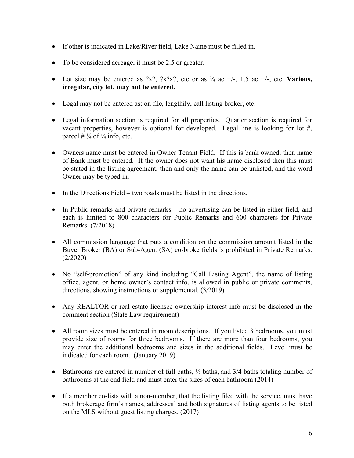- If other is indicated in Lake/River field, Lake Name must be filled in.
- To be considered acreage, it must be 2.5 or greater.
- Lot size may be entered as  $2x$ ?,  $2x^2x$ ?, etc or as  $\frac{3}{4}$  ac  $\pm$ /-, 1.5 ac  $\pm$ /-, etc. **Various**, **irregular, city lot, may not be entered.**
- Legal may not be entered as: on file, lengthily, call listing broker, etc.
- Legal information section is required for all properties. Quarter section is required for vacant properties, however is optional for developed. Legal line is looking for lot #, parcel  $\# \frac{1}{4}$  of  $\frac{1}{4}$  info, etc.
- Owners name must be entered in Owner Tenant Field. If this is bank owned, then name of Bank must be entered. If the owner does not want his name disclosed then this must be stated in the listing agreement, then and only the name can be unlisted, and the word Owner may be typed in.
- In the Directions Field two roads must be listed in the directions.
- In Public remarks and private remarks no advertising can be listed in either field, and each is limited to 800 characters for Public Remarks and 600 characters for Private Remarks. (7/2018)
- All commission language that puts a condition on the commission amount listed in the Buyer Broker (BA) or Sub-Agent (SA) co-broke fields is prohibited in Private Remarks. (2/2020)
- No "self-promotion" of any kind including "Call Listing Agent", the name of listing office, agent, or home owner's contact info, is allowed in public or private comments, directions, showing instructions or supplemental. (3/2019)
- Any REALTOR or real estate licensee ownership interest info must be disclosed in the comment section (State Law requirement)
- All room sizes must be entered in room descriptions. If you listed 3 bedrooms, you must provide size of rooms for three bedrooms. If there are more than four bedrooms, you may enter the additional bedrooms and sizes in the additional fields. Level must be indicated for each room. (January 2019)
- Bathrooms are entered in number of full baths,  $\frac{1}{2}$  baths, and 3/4 baths totaling number of bathrooms at the end field and must enter the sizes of each bathroom (2014)
- If a member co-lists with a non-member, that the listing filed with the service, must have both brokerage firm's names, addresses' and both signatures of listing agents to be listed on the MLS without guest listing charges. (2017)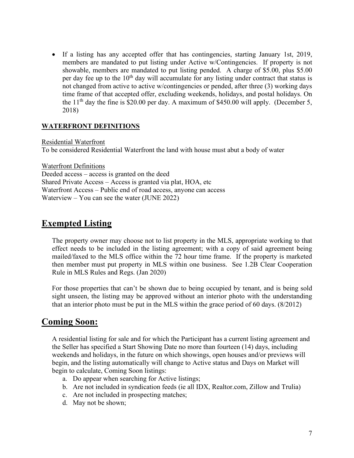• If a listing has any accepted offer that has contingencies, starting January 1st, 2019, members are mandated to put listing under Active w/Contingencies. If property is not showable, members are mandated to put listing pended.A charge of \$5.00, plus \$5.00 per day fee up to the  $10<sup>th</sup>$  day will accumulate for any listing under contract that status is not changed from active to active w/contingencies or pended, after three (3) working days time frame of that accepted offer, excluding weekends, holidays, and postal holidays. On the  $11<sup>th</sup>$  day the fine is \$20.00 per day. A maximum of \$450.00 will apply. (December 5, 2018)

#### **WATERFRONT DEFINITIONS**

Residential Waterfront To be considered Residential Waterfront the land with house must abut a body of water

Waterfront Definitions Deeded access – access is granted on the deed Shared Private Access – Access is granted via plat, HOA, etc Waterfront Access – Public end of road access, anyone can access Waterview – You can see the water (JUNE 2022)

## **Exempted Listing**

The property owner may choose not to list property in the MLS, appropriate working to that effect needs to be included in the listing agreement; with a copy of said agreement being mailed/faxed to the MLS office within the 72 hour time frame. If the property is marketed then member must put property in MLS within one business. See 1.2B Clear Cooperation Rule in MLS Rules and Regs. (Jan 2020)

For those properties that can't be shown due to being occupied by tenant, and is being sold sight unseen, the listing may be approved without an interior photo with the understanding that an interior photo must be put in the MLS within the grace period of 60 days. (8/2012)

## **Coming Soon:**

A residential listing for sale and for which the Participant has a current listing agreement and the Seller has specified a Start Showing Date no more than fourteen (14) days, including weekends and holidays, in the future on which showings, open houses and/or previews will begin, and the listing automatically will change to Active status and Days on Market will begin to calculate, Coming Soon listings:

- a. Do appear when searching for Active listings;
- b. Are not included in syndication feeds (ie all IDX, Realtor.com, Zillow and Trulia)
- c. Are not included in prospecting matches;
- d. May not be shown;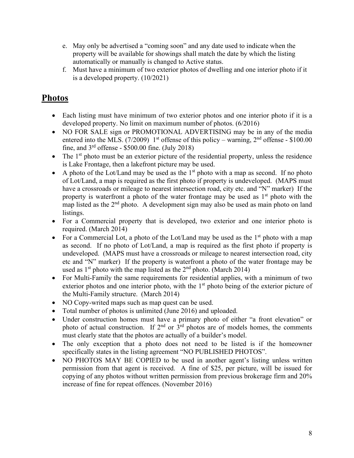- e. May only be advertised a "coming soon" and any date used to indicate when the property will be available for showings shall match the date by which the listing automatically or manually is changed to Active status.
- f. Must have a minimum of two exterior photos of dwelling and one interior photo if it is a developed property. (10/2021)

## **Photos**

- Each listing must have minimum of two exterior photos and one interior photo if it is a developed property. No limit on maximum number of photos. (6/2016)
- NO FOR SALE sign or PROMOTIONAL ADVERTISING may be in any of the media entered into the MLS. (7/2009) 1<sup>st</sup> offense of this policy – warning,  $2<sup>nd</sup>$  offense - \$100.00 fine, and  $3<sup>rd</sup>$  offense - \$500.00 fine. (July 2018)
- The  $1<sup>st</sup>$  photo must be an exterior picture of the residential property, unless the residence is Lake Frontage, then a lakefront picture may be used.
- A photo of the Lot/Land may be used as the  $1<sup>st</sup>$  photo with a map as second. If no photo of Lot/Land, a map is required as the first photo if property is undeveloped. (MAPS must have a crossroads or mileage to nearest intersection road, city etc. and "N" marker) If the property is waterfront a photo of the water frontage may be used as  $1<sup>st</sup>$  photo with the map listed as the  $2<sup>nd</sup>$  photo. A development sign may also be used as main photo on land listings.
- For a Commercial property that is developed, two exterior and one interior photo is required. (March 2014)
- For a Commercial Lot, a photo of the Lot/Land may be used as the  $1<sup>st</sup>$  photo with a map as second. If no photo of Lot/Land, a map is required as the first photo if property is undeveloped. (MAPS must have a crossroads or mileage to nearest intersection road, city etc and "N" marker) If the property is waterfront a photo of the water frontage may be used as  $1<sup>st</sup>$  photo with the map listed as the  $2<sup>nd</sup>$  photo. (March 2014)
- For Multi-Family the same requirements for residential applies, with a minimum of two exterior photos and one interior photo, with the  $1<sup>st</sup>$  photo being of the exterior picture of the Multi-Family structure. (March 2014)
- NO Copy-writed maps such as map quest can be used.
- Total number of photos is unlimited (June 2016) and uploaded.
- Under construction homes must have a primary photo of either "a front elevation" or photo of actual construction. If  $2<sup>nd</sup>$  or  $3<sup>rd</sup>$  photos are of models homes, the comments must clearly state that the photos are actually of a builder's model.
- The only exception that a photo does not need to be listed is if the homeowner specifically states in the listing agreement "NO PUBLISHED PHOTOS".
- NO PHOTOS MAY BE COPIED to be used in another agent's listing unless written permission from that agent is received. A fine of \$25, per picture, will be issued for copying of any photos without written permission from previous brokerage firm and 20% increase of fine for repeat offences. (November 2016)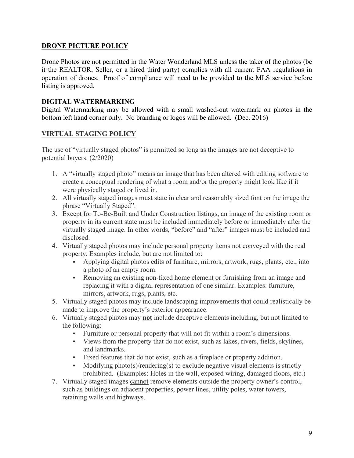#### **DRONE PICTURE POLICY**

Drone Photos are not permitted in the Water Wonderland MLS unless the taker of the photos (be it the REALTOR, Seller, or a hired third party) complies with all current FAA regulations in operation of drones. Proof of compliance will need to be provided to the MLS service before listing is approved.

#### **DIGITAL WATERMARKING**

Digital Watermarking may be allowed with a small washed-out watermark on photos in the bottom left hand corner only. No branding or logos will be allowed. (Dec. 2016)

#### **VIRTUAL STAGING POLICY**

The use of "virtually staged photos" is permitted so long as the images are not deceptive to potential buyers. (2/2020)

- 1. A "virtually staged photo" means an image that has been altered with editing software to create a conceptual rendering of what a room and/or the property might look like if it were physically staged or lived in.
- 2. All virtually staged images must state in clear and reasonably sized font on the image the phrase "Virtually Staged".
- 3. Except for To-Be-Built and Under Construction listings, an image of the existing room or property in its current state must be included immediately before or immediately after the virtually staged image. In other words, "before" and "after" images must be included and disclosed.
- 4. Virtually staged photos may include personal property items not conveyed with the real property. Examples include, but are not limited to:
	- Applying digital photos edits of furniture, mirrors, artwork, rugs, plants, etc., into a photo of an empty room.
	- Removing an existing non-fixed home element or furnishing from an image and replacing it with a digital representation of one similar. Examples: furniture, mirrors, artwork, rugs, plants, etc.
- 5. Virtually staged photos may include landscaping improvements that could realistically be made to improve the property's exterior appearance.
- 6. Virtually staged photos may **not** include deceptive elements including, but not limited to the following:
	- Furniture or personal property that will not fit within a room's dimensions.
	- Views from the property that do not exist, such as lakes, rivers, fields, skylines, and landmarks.
	- Fixed features that do not exist, such as a fireplace or property addition.
	- Modifying photo(s)/rendering(s) to exclude negative visual elements is strictly prohibited. (Examples: Holes in the wall, exposed wiring, damaged floors, etc.)
- 7. Virtually staged images cannot remove elements outside the property owner's control, such as buildings on adjacent properties, power lines, utility poles, water towers, retaining walls and highways.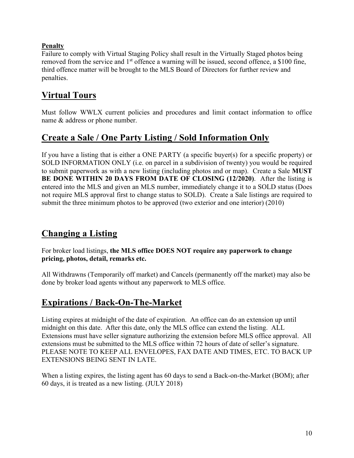#### **Penalty**

Failure to comply with Virtual Staging Policy shall result in the Virtually Staged photos being removed from the service and 1<sup>st</sup> offence a warning will be issued, second offence, a \$100 fine, third offence matter will be brought to the MLS Board of Directors for further review and penalties.

## **Virtual Tours**

Must follow WWLX current policies and procedures and limit contact information to office name & address or phone number.

## **Create a Sale / One Party Listing / Sold Information Only**

If you have a listing that is either a ONE PARTY (a specific buyer(s) for a specific property) or SOLD INFORMATION ONLY (i.e. on parcel in a subdivision of twenty) you would be required to submit paperwork as with a new listing (including photos and or map). Create a Sale **MUST BE DONE WITHIN 20 DAYS FROM DATE OF CLOSING (12/2020)**. After the listing is entered into the MLS and given an MLS number, immediately change it to a SOLD status (Does not require MLS approval first to change status to SOLD). Create a Sale listings are required to submit the three minimum photos to be approved (two exterior and one interior) (2010)

## **Changing a Listing**

For broker load listings, **the MLS office DOES NOT require any paperwork to change pricing, photos, detail, remarks etc.**

All Withdrawns (Temporarily off market) and Cancels (permanently off the market) may also be done by broker load agents without any paperwork to MLS office.

## **Expirations / Back-On-The-Market**

Listing expires at midnight of the date of expiration. An office can do an extension up until midnight on this date. After this date, only the MLS office can extend the listing. ALL Extensions must have seller signature authorizing the extension before MLS office approval. All extensions must be submitted to the MLS office within 72 hours of date of seller's signature. PLEASE NOTE TO KEEP ALL ENVELOPES, FAX DATE AND TIMES, ETC. TO BACK UP EXTENSIONS BEING SENT IN LATE.

When a listing expires, the listing agent has 60 days to send a Back-on-the-Market (BOM); after 60 days, it is treated as a new listing. (JULY 2018)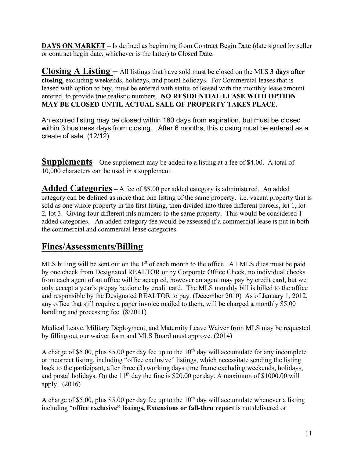**DAYS ON MARKET –** Is defined as beginning from Contract Begin Date (date signed by seller or contract begin date, whichever is the latter) to Closed Date.

**Closing A Listing** – All listings that have sold must be closed on the MLS **3 days after closing**, excluding weekends, holidays, and postal holidays. For Commercial leases that is leased with option to buy, must be entered with status of leased with the monthly lease amount entered, to provide true realistic numbers. **NO RESIDENTIAL LEASE WITH OPTION MAY BE CLOSED UNTIL ACTUAL SALE OF PROPERTY TAKES PLACE.**

An expired listing may be closed within 180 days from expiration, but must be closed within 3 business days from closing. After 6 months, this closing must be entered as a create of sale. (12/12)

**Supplements** – One supplement may be added to a listing at a fee of \$4.00. A total of 10,000 characters can be used in a supplement.

Added Categories – A fee of \$8.00 per added category is administered. An added category can be defined as more than one listing of the same property. i.e. vacant property that is sold as one whole property in the first listing, then divided into three different parcels, lot 1, lot 2, lot 3. Giving four different mls numbers to the same property. This would be considered 1 added categories. An added category fee would be assessed if a commercial lease is put in both the commercial and commercial lease categories.

## **Fines/Assessments/Billing**

MLS billing will be sent out on the  $1<sup>st</sup>$  of each month to the office. All MLS dues must be paid by one check from Designated REALTOR or by Corporate Office Check, no individual checks from each agent of an office will be accepted, however an agent may pay by credit card, but we only accept a year's prepay be done by credit card. The MLS monthly bill is billed to the office and responsible by the Designated REALTOR to pay. (December 2010) As of January 1, 2012, any office that still require a paper invoice mailed to them, will be charged a monthly \$5.00 handling and processing fee. (8/2011)

Medical Leave, Military Deployment, and Maternity Leave Waiver from MLS may be requested by filling out our waiver form and MLS Board must approve. (2014)

A charge of \$5.00, plus \$5.00 per day fee up to the  $10<sup>th</sup>$  day will accumulate for any incomplete or incorrect listing, including "office exclusive" listings, which necessitate sending the listing back to the participant, after three (3) working days time frame excluding weekends, holidays, and postal holidays. On the  $11<sup>th</sup>$  day the fine is \$20.00 per day. A maximum of \$1000.00 will apply. (2016)

A charge of \$5.00, plus \$5.00 per day fee up to the  $10<sup>th</sup>$  day will accumulate whenever a listing including "**office exclusive" listings, Extensions or fall-thru report** is not delivered or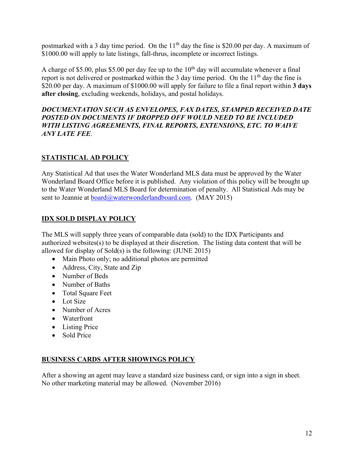postmarked with a 3 day time period. On the  $11<sup>th</sup>$  day the fine is \$20.00 per day. A maximum of \$1000.00 will apply to late listings, fall-thrus, incomplete or incorrect listings.

A charge of \$5.00, plus \$5.00 per day fee up to the  $10<sup>th</sup>$  day will accumulate whenever a final report is not delivered or postmarked within the 3 day time period. On the 11<sup>th</sup> day the fine is \$20.00 per day. A maximum of \$1000.00 will apply for failure to file a final report within **3 days after closing**, excluding weekends, holidays, and postal holidays.

#### *DOCUMENTATION SUCH AS ENVELOPES, FAX DATES, STAMPED RECEIVED DATE POSTED ON DOCUMENTS IF DROPPED OFF WOULD NEED TO BE INCLUDED WITH LISTING AGREEMENTS, FINAL REPORTS, EXTENSIONS, ETC. TO WAIVE ANY LATE FEE*.

#### **STATISTICAL AD POLICY**

Any Statistical Ad that uses the Water Wonderland MLS data must be approved by the Water Wonderland Board Office before it is published. Any violation of this policy will be brought up to the Water Wonderland MLS Board for determination of penalty. All Statistical Ads may be sent to Jeannie at [board@waterwonderlandboard.com.](mailto:board@waterwonderlandboard.com) (MAY 2015)

#### **IDX SOLD DISPLAY POLICY**

The MLS will supply three years of comparable data (sold) to the IDX Participants and authorized websites(s) to be displayed at their discretion. The listing data content that will be allowed for display of Sold(s) is the following: (JUNE 2015)

- Main Photo only; no additional photos are permitted
- Address, City, State and Zip
- Number of Beds
- Number of Baths
- Total Square Feet
- Lot Size
- Number of Acres
- Waterfront
- Listing Price
- Sold Price

#### **BUSINESS CARDS AFTER SHOWINGS POLICY**

After a showing an agent may leave a standard size business card, or sign into a sign in sheet. No other marketing material may be allowed. (November 2016)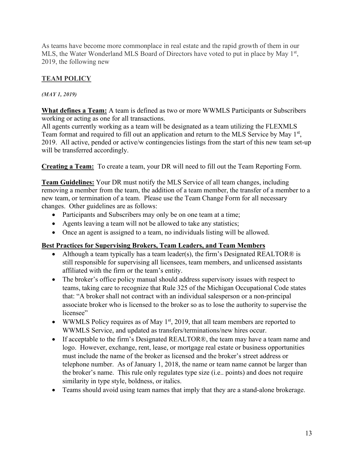As teams have become more commonplace in real estate and the rapid growth of them in our MLS, the Water Wonderland MLS Board of Directors have voted to put in place by May  $1<sup>st</sup>$ , 2019, the following new

### **TEAM POLICY**

#### *(MAY 1, 2019)*

**What defines a Team:** A team is defined as two or more WWMLS Participants or Subscribers working or acting as one for all transactions.

All agents currently working as a team will be designated as a team utilizing the FLEXMLS Team format and required to fill out an application and return to the MLS Service by May 1<sup>st</sup>, 2019. All active, pended or active/w contingencies listings from the start of this new team set-up will be transferred accordingly.

**Creating a Team:** To create a team, your DR will need to fill out the Team Reporting Form.

**Team Guidelines:** Your DR must notify the MLS Service of all team changes, including removing a member from the team, the addition of a team member, the transfer of a member to a new team, or termination of a team. Please use the Team Change Form for all necessary changes. Other guidelines are as follows:

- Participants and Subscribers may only be on one team at a time;
- Agents leaving a team will not be allowed to take any statistics;
- Once an agent is assigned to a team, no individuals listing will be allowed.

#### **Best Practices for Supervising Brokers, Team Leaders, and Team Members**

- Although a team typically has a team leader(s), the firm's Designated REALTOR® is still responsible for supervising all licensees, team members, and unlicensed assistants affiliated with the firm or the team's entity.
- The broker's office policy manual should address supervisory issues with respect to teams, taking care to recognize that Rule 325 of the Michigan Occupational Code states that: "A broker shall not contract with an individual salesperson or a non-principal associate broker who is licensed to the broker so as to lose the authority to supervise the licensee"
- WWMLS Policy requires as of May  $1<sup>st</sup>$ , 2019, that all team members are reported to WWMLS Service, and updated as transfers/terminations/new hires occur.
- If acceptable to the firm's Designated REALTOR®, the team may have a team name and logo. However, exchange, rent, lease, or mortgage real estate or business opportunities must include the name of the broker as licensed and the broker's street address or telephone number. As of January 1, 2018, the name or team name cannot be larger than the broker's name. This rule only regulates type size (i.e.. points) and does not require similarity in type style, boldness, or italics.
- Teams should avoid using team names that imply that they are a stand-alone brokerage.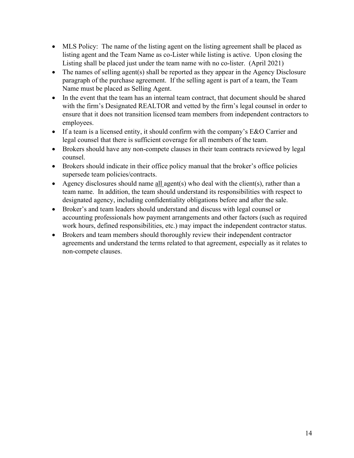- MLS Policy: The name of the listing agent on the listing agreement shall be placed as listing agent and the Team Name as co-Lister while listing is active. Upon closing the Listing shall be placed just under the team name with no co-lister. (April 2021)
- The names of selling agent(s) shall be reported as they appear in the Agency Disclosure paragraph of the purchase agreement. If the selling agent is part of a team, the Team Name must be placed as Selling Agent.
- In the event that the team has an internal team contract, that document should be shared with the firm's Designated REALTOR and vetted by the firm's legal counsel in order to ensure that it does not transition licensed team members from independent contractors to employees.
- If a team is a licensed entity, it should confirm with the company's E&O Carrier and legal counsel that there is sufficient coverage for all members of the team.
- Brokers should have any non-compete clauses in their team contracts reviewed by legal counsel.
- Brokers should indicate in their office policy manual that the broker's office policies supersede team policies/contracts.
- Agency disclosures should name all agent(s) who deal with the client(s), rather than a team name. In addition, the team should understand its responsibilities with respect to designated agency, including confidentiality obligations before and after the sale.
- Broker's and team leaders should understand and discuss with legal counsel or accounting professionals how payment arrangements and other factors (such as required work hours, defined responsibilities, etc.) may impact the independent contractor status.
- Brokers and team members should thoroughly review their independent contractor agreements and understand the terms related to that agreement, especially as it relates to non-compete clauses.